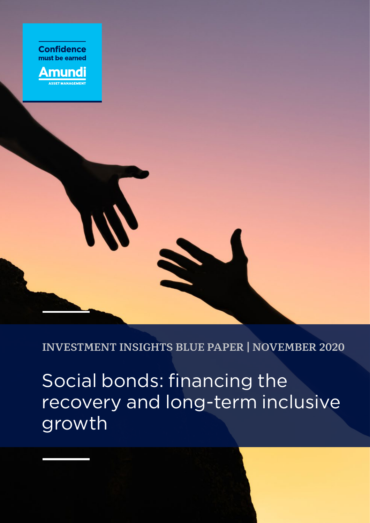

**INVESTMENT INSIGHTS BLUE PAPER | NOVEMBER 2020**

Social bonds: financing the recovery and long-term inclusive growth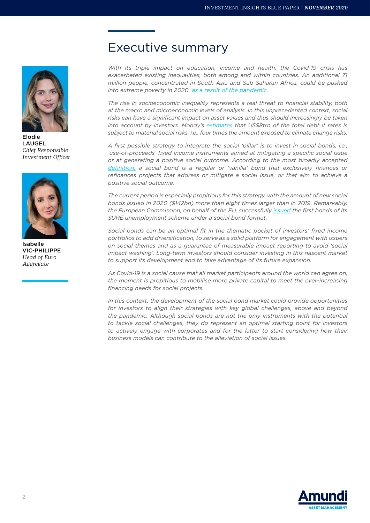

Elodie LAUGEL *Chief Responsible Investment Officer*



Isabelle VIC-PHILIPPE *Head of Euro Aggregate*

# Executive summary

*With its triple impact on education, income and health, the Covid-19 crisis has exacerbated existing inequalities, both among and within countries. An additional 71 million people, concentrated in South Asia and Sub-Saharan Africa, could be pushed into extreme poverty in 2020 [as a result of the pandemic](http://pubdocs.worldbank.org/en/461601591649316722/Projected-poverty-impacts-of-COVID-19.pdf).*

*The rise in socioeconomic inequality represents a real threat to financial stability, both at the macro and microeconomic levels of analysis. In this unprecedented context, social risks can have a significant impact on asset values and thus should increasingly be taken into account by investors. Moody's [estimates](https://www.economist.com/finance-and-economics/2020/06/04/esg-investors-get-their-heads-around-social-risks) that US\$8trn of the total debt it rates is subject to material social risks, i.e., four times the amount exposed to climate change risks.*

*A first possible strategy to integrate the social 'pillar' is to invest in social bonds, i.e., 'use-of-proceeds' fixed income instruments aimed at mitigating a specific social issue or at generating a positive social outcome. According to the most broadly accepted [definition,](https://www.icmagroup.org/assets/documents/Regulatory/Green-Bonds/June-2020/Social-Bond-PrinciplesJune-2020-090620.pdf) a social bond is a regular or 'vanilla' bond that exclusively finances or refinances projects that address or mitigate a social issue, or that aim to achieve a positive social outcome.*

*The current period is especially propitious for this strategy, with the amount of new social bonds issued in 2020 (\$142bn) more than eight times larger than in 2019. Remarkably, the European Commission, on behalf of the EU, successfully [issued](https://www.reuters.com/article/eu-recovery-social-bonds-idUSL8N2GY3CH) the first bonds of its SURE unemployment scheme under a social bond format.*

*Social bonds can be an optimal fit in the thematic pocket of investors' fixed income portfolios to add diversification, to serve as a solid platform for engagement with issuers on social themes and as a guarantee of measurable impact reporting to avoid 'social impact washing'. Long-term investors should consider investing in this nascent market to support its development and to take advantage of its future expansion.*

*As Covid-19 is a social cause that all market participants around the world can agree on, the moment is propitious to mobilise more private capital to meet the ever-increasing financing needs for social projects.*

*In this context, the development of the social bond market could provide opportunities*  for investors to align their strategies with key global challenges, above and beyond *the pandemic. Although social bonds are not the only instruments with the potential to tackle social challenges, they do represent an optimal starting point for investors to actively engage with corporates and for the latter to start considering how their business models can contribute to the alleviation of social issues.*

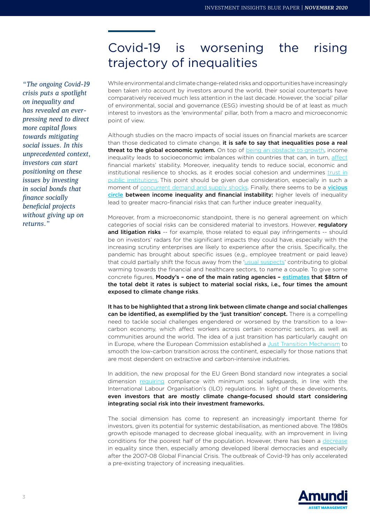# Covid-19 is worsening the rising trajectory of inequalities

*"The ongoing Covid-19 crisis puts a spotlight on inequality and has revealed an everpressing need to direct more capital flows towards mitigating social issues. In this unprecedented context, investors can start positioning on these issues by investing in social bonds that finance socially beneficial projects without giving up on returns."*

While environmental and climate change-related risks and opportunities have increasingly been taken into account by investors around the world, their social counterparts have comparatively received much less attention in the last decade. However, the 'social' pillar of environmental, social and governance (ESG) investing should be of at least as much interest to investors as the 'environmental' pillar, both from a macro and microeconomic point of view.

Although studies on the macro impacts of social issues on financial markets are scarcer than those dedicated to climate change, it is safe to say that inequalities pose a real threat to the global economic system. On top of [being an obstacle to growth,](http://www.oecd.org/els/soc/trends-in-income-inequality-and-its-impact-on-economic-growth-SEM-WP163.pdf) income inequality leads to socioeconomic imbalances within countries that can, in turn, [affect](https://dash.harvard.edu/bitstream/handle/1/4553018/alesina_incomedistribution.pdf) financial markets' stability. Moreover, inequality tends to reduce social, economic and institutional resilience to shocks, as it erodes social cohesion and undermines [trust in](https://www.oecd.org/mcm/C-MIN(2014)7-ENG.pdf) [public institutions.](https://www.oecd.org/mcm/C-MIN(2014)7-ENG.pdf) This point should be given due consideration, especially in such a moment of [concurrent demand and supply shocks.](https://review.chicagobooth.edu/economics/2020/article/how-covid-19-shocked-both-supply-and-demand) Finally, there seems to be a [vicious](https://www.imf.org/en/Publications/Staff-Discussion-Notes/Issues/2020/01/16/Finance-and-Inequality-45129) [circle](https://www.imf.org/en/Publications/Staff-Discussion-Notes/Issues/2020/01/16/Finance-and-Inequality-45129) between income inequality and financial instability: higher levels of inequality lead to greater macro-financial risks that can further induce greater inequality.

Moreover, from a microeconomic standpoint, there is no general agreement on which categories of social risks can be considered material to investors. However, regulatory and litigation risks -- for example, those related to equal pay infringements -- should be on investors' radars for the significant impacts they could have, especially with the increasing scrutiny enterprises are likely to experience after the crisis. Specifically, the pandemic has brought about specific issues (e.g., employee treatment or paid leave) that could partially shift the focus away from the '[usual suspects](https://www.cfauk.org/pi-listing/asset-management-after-covid-19-irreversible-change-or-back-to-where-we-left-off#gsc.tab=0)' contributing to global warming towards the financial and healthcare sectors, to name a couple. To give some concrete figures, Moody's – one of the main rating agencies – [estimates](https://www.economist.com/finance-and-economics/2020/06/04/esg-investors-get-their-heads-around-social-risks) that \$8trn of the total debt it rates is subject to material social risks, i.e., four times the amount exposed to climate change risks.

It has to be highlighted that a strong link between climate change and social challenges can be identified, as exemplified by the 'just transition' concept. There is a compelling need to tackle social challenges engendered or worsened by the transition to a lowcarbon economy, which affect workers across certain economic sectors, as well as communities around the world. The idea of a just transition has particularly caught on in Europe, where the European Commission established a [Just Transition Mechanism](https://ec.europa.eu/info/strategy/priorities-2019-2024/european-green-deal/actions-being-taken-eu/just-transition-mechanism/just-transition-platform_en) to smooth the low-carbon transition across the continent, especially for those nations that are most dependent on extractive and carbon-intensive industries.

In addition, the new proposal for the EU Green Bond standard now integrates a social dimension [requiring](https://ec.europa.eu/info/sites/info/files/business_economy_euro/banking_and_finance/documents/190618-sustainable-finance-teg-report-green-bond-standard_en.pdf2) compliance with minimum social safeguards, in line with the International Labour Organisation's (ILO) regulations. In light of these developments, even investors that are mostly climate change-focused should start considering integrating social risk into their investment frameworks.

The social dimension has come to represent an increasingly important theme for investors, given its potential for systemic destabilisation, as mentioned above. The 1980s growth episode managed to decrease global inequality, with an improvement in living conditions for the poorest half of the population. However, there has been a [decrease](http://www.bsi-economics.org/545-inequality-and-redistribution-in-the-aftermath-of-the-2007-2008-crisis-the-us-case) in equality since then, especially among developed liberal democracies and especially after the 2007-08 Global Financial Crisis. The outbreak of Covid-19 has only accelerated a pre-existing trajectory of increasing inequalities.

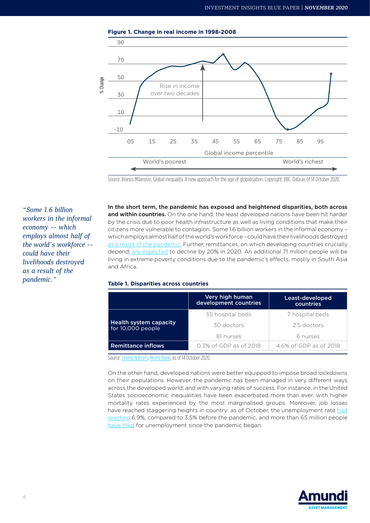



Source: Branco Milanovic, Global inequality. A new approach for the age of globalisation. Copyright: BBC. Data as of 14 October 2020.

*"Some 1.6 billion workers in the informal economy -- which employs almost half of the world's workforce - could have their livelihoods destroyed as a result of the pandemic."*

In the short term, the pandemic has exposed and heightened disparities, both across and within countries. On the one hand, the least developed nations have been hit harder by the crisis due to poor health infrastructure as well as living conditions that make their citizens more vulnerable to contagion. Some 1.6 billion workers in the informal economy – which employs almost half of the world's workforce – could have their livelihoods destroyed [as a result of the pandemic.](https://research-center.amundi.com/page/Article/2020/05/The-day-after-4-Inequality-in-the-context-of-the-Covid-19-crisis) Further, remittances, on which developing countries crucially depend, [are expected](https://www.worldbank.org/en/news/press-release/2020/04/22/world-bank-predicts-sharpest-decline-of-remittances-in-recent-history) to decline by 20% in 2020. An additional 71 million people will be living in extreme poverty conditions due to the pandemic's effects, mostly in South Asia and Africa.

### **Table 1. Disparities across countries**

|                                             | Very high human<br>development countries | Least-developed<br>countries |
|---------------------------------------------|------------------------------------------|------------------------------|
|                                             | 55 hospital beds                         | 7 hospital beds              |
| Health system capacity<br>for 10,000 people | 30 doctors                               | 2.5 doctors                  |
|                                             | 81 nurses                                | 6 nurses                     |
| <b>Remittance inflows</b>                   | 0.3% of GDP as of 2018                   | 4.6% of GDP as of 2018       |

Source: [United Nations](http://hdr.undp.org/en/content/global-preparedness-and-vulnerability-dashboards), [World Bank](http://pubdocs.worldbank.org/en/461601591649316722/Projected-poverty-impacts-of-COVID-19.pdf), as of 14 October 2020.

On the other hand, developed nations were better equipped to impose broad lockdowns on their populations. However, the pandemic has been managed in very different ways across the developed world, and with varying rates of success. For instance, in the United States socioeconomic inequalities have been exacerbated more than ever, with higher mortality rates experienced by the most marginalised groups. Moreover, job losses have reached staggering heights in country: as of October, the unemployment rate [had](https://www.bls.gov/news.release/pdf/empsit.pdf) [reached](https://www.bls.gov/news.release/pdf/empsit.pdf) 6.9%, compared to 3.5% before the pandemic, and more than 65 million people [have filed](https://www.dol.gov/ui/data.pdf) for unemployment since the pandemic began.

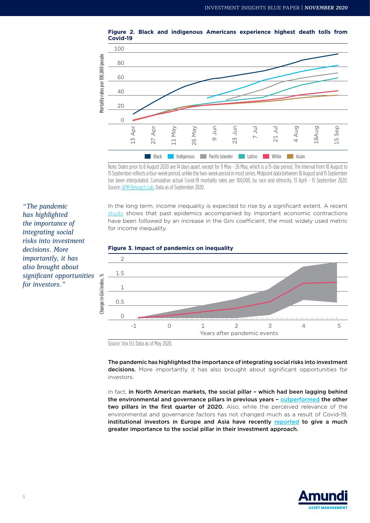



Note: Dates prior to 8 August 2020 are 14 days apart, except for 11 May - 26 May, which is a 15-day period. The interval from 18 August to 15 September reflects a four-week period, unlike the two-week period in most series. Midpoint data between 18 August and 15 September has been interpolated. Cumulative actual Covid-19 mortality rates per 100,000, by race and ethnicity, 13 April - 15 September 2020. Source: [APM Research Lab.](https://www.apmresearchlab.org/covid/deaths-by-race#:~:text=KEY%20FINDINGS%20(from%20data%20through%20Sept.%2015)%3A&text=1%20in%201%2C400%20Pacific%20Islander,or%2040.4%20deaths%20per%20100%2C000)) Data as of September 2020.

In the long term, income inequality is expected to rise by a significant extent. A recent [study](https://voxeu.org/article/covid-19-will-raise-inequality-if-past-pandemics-are-guide) shows that past epidemics accompanied by important economic contractions have been followed by an increase in the Gini coefficient, the most widely used metric for income inequality.





The pandemic has highlighted the importance of integrating social risks into investment decisions. More importantly, it has also brought about significant opportunities for investors.

In fact, in North American markets, the social pillar - which had been lagging behind the environmental and governance pillars in previous years – [outperformed](https://research-center.amundi.com/page/Article/2020/06/The-Coronavirus-and-ESG-Investing-the-emergence-of-the-Social-pillar) the other two pillars in the first quarter of 2020. Also, while the perceived relevance of the environmental and governance factors has not changed much as a result of Covid-19, institutional investors in Europe and Asia have recently [reported](https://www.greenwich.com/blog/pandemic-perspectives-part-10-acceleration-trend-toward-esg) to give a much greater importance to the social pillar in their investment approach.



*"The pandemic has highlighted the importance of integrating social risks into investment decisions. More importantly, it has also brought about significant opportunities for investors."*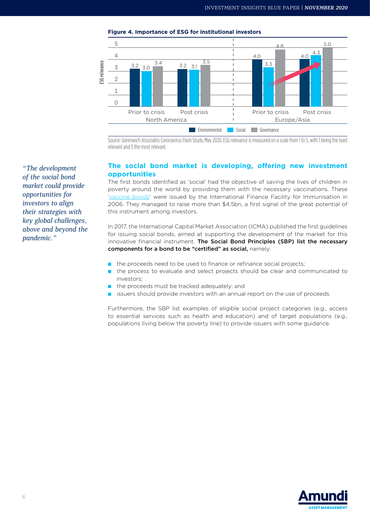

**Figure 4. Importance of ESG for institutional investors**

Source: Greenwich Associates Coronavirus Flash Study, May 2020. ESG relevance is measured on a scale from 1 to 5, with 1 being the least relevant and 5 the most relevant.

## **The social bond market is developing, offering new investment opportunities**

The first bonds identified as 'social' had the objective of saving the lives of children in poverty around the world by providing them with the necessary vaccinations. These '[vaccine bonds'](https://www.orse.org/nos-travaux/osons-les-social-bonds) were issued by the International Finance Facility for Immunisation in 2006. They managed to raise more than \$4.5bn, a first signal of the great potential of this instrument among investors.

In 2017, the International Capital Market Association (ICMA) published the first guidelines for issuing social bonds, aimed at supporting the development of the market for this innovative financial instrument. The Social Bond Principles (SBP) list the necessary components for a bond to be "certified" as social, namely:

- the proceeds need to be used to finance or refinance social projects;
- the process to evaluate and select projects should be clear and communicated to investors;
- the proceeds must be tracked adequately; and
- issuers should provide investors with an annual report on the use of proceeds.

Furthermore, the SBP list examples of eligible social project categories (e.g., access to essential services such as health and education) and of target populations (e.g., populations living below the poverty line) to provide issuers with some guidance.



*"The development of the social bond market could provide opportunities for investors to align their strategies with key global challenges, above and beyond the pandemic."*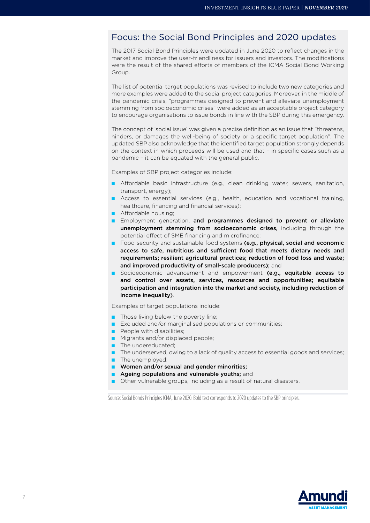# Focus: the Social Bond Principles and 2020 updates

The 2017 Social Bond Principles were updated in June 2020 to reflect changes in the market and improve the user-friendliness for issuers and investors. The modifications were the result of the shared efforts of members of the ICMA Social Bond Working Group.

The list of potential target populations was revised to include two new categories and more examples were added to the social project categories. Moreover, in the middle of the pandemic crisis, "programmes designed to prevent and alleviate unemployment stemming from socioeconomic crises" were added as an acceptable project category to encourage organisations to issue bonds in line with the SBP during this emergency.

The concept of 'social issue' was given a precise definition as an issue that "threatens, hinders, or damages the well-being of society or a specific target population". The updated SBP also acknowledge that the identified target population strongly depends on the context in which proceeds will be used and that – in specific cases such as a pandemic – it can be equated with the general public.

Examples of SBP project categories include:

- Affordable basic infrastructure (e.g., clean drinking water, sewers, sanitation, transport, energy);
- Access to essential services (e.g., health, education and vocational training, healthcare, financing and financial services);
- Affordable housing;
- **Employment generation, and programmes designed to prevent or alleviate** unemployment stemming from socioeconomic crises, including through the potential effect of SME financing and microfinance;
- Food security and sustainable food systems (e.g., physical, social and economic access to safe, nutritious and sufficient food that meets dietary needs and requirements; resilient agricultural practices; reduction of food loss and waste; and improved productivity of small-scale producers); and
- Socioeconomic advancement and empowerment (e.g., equitable access to and control over assets, services, resources and opportunities; equitable participation and integration into the market and society, including reduction of income inequality).

Examples of target populations include:

- Those living below the poverty line;
- Excluded and/or marginalised populations or communities;
- People with disabilities:
- Migrants and/or displaced people;
- The undereducated:
- The underserved, owing to a lack of quality access to essential goods and services;
- The unemployed;
- Women and/or sexual and gender minorities;
- Ageing populations and vulnerable youths; and
- Other vulnerable groups, including as a result of natural disasters.

Source: Social Bonds Principles ICMA, June 2020. Bold text corresponds to 2020 updates to the SBP principles.

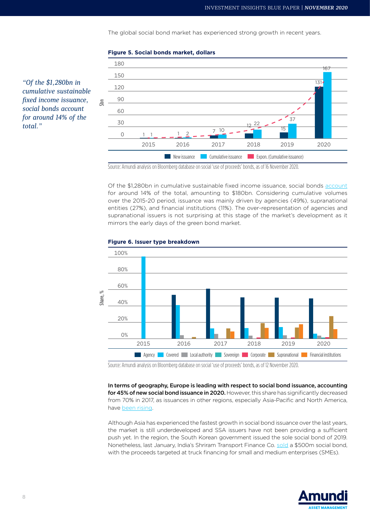The global social bond market has experienced strong growth in recent years.

#### 180 150 120 90 60 30  $\Omega$ **EXPONSISSIANCE COMMUNIST COMMUNIST COMMUNIST COMMUNIST COMMUNIST COMMUNIST CONSIDERATION**  $1 \qquad 1 \qquad 2 \qquad - \qquad 7 \qquad ^{10}$  $22$ 15  $37$ 131  $167$ 1 2015 2016 2017 2018 2019 2020  $\overline{5}$

## **Figure 5. Social bonds market, dollars**

Source: Amundi analysis on Bloomberg database on social 'use of proceeds' bonds, as of 16 November 2020.

Of the \$1,280bn in cumulative sustainable fixed income issuance, social bonds [account](https://cib.bnpparibas.com/sustain/social-bonds-the-next-frontier-for-esg-investors_a-3-3005.html) for around 14% of the total, amounting to \$180bn. Considering cumulative volumes over the 2015-20 period, issuance was mainly driven by agencies (49%), supranational entities (27%), and financial institutions (11%). The over-representation of agencies and supranational issuers is not surprising at this stage of the market's development as it mirrors the early days of the green bond market.



#### **Figure 6. Issuer type breakdown**

Source: Amundi analysis on Bloomberg database on social 'use of proceeds' bonds, as of 12 November 2020.

In terms of geography, Europe is leading with respect to social bond issuance, accounting for 45% of new social bond issuance in 2020. However, this share has significantly decreased from 70% in 2017, as issuances in other regions, especially Asia-Pacific and North America, have [been rising.](https://www.spglobal.com/ratings/en/research/articles/200622-a-pandemic-driven-surge-in-social-bond-issuance-shows-the-sustainable-debt-market-is-evolving-11539807#:~:text=Social%20Bond%20Issuance%20Has%20Reached%20Record%20Levels,-ICMA%20defines%20social&text=Of%20the%20%24400%20billion%20in,%25%20(see%20chart%201).)

Although Asia has experienced the fastest growth in social bond issuance over the last years, the market is still underdeveloped and SSA issuers have not been providing a sufficient push yet. In the region, the South Korean government issued the sole social bond of 2019. Nonetheless, last January, India's Shriram Transport Finance Co. [sold](https://www.spglobal.com/marketintelligence/en/news-insights/latest-news-headlines/asia-pacific-green-bond-issuance-falls-to-over-3-year-low-as-social-debt-surges-60048028) a \$500m social bond, with the proceeds targeted at truck financing for small and medium enterprises (SMEs).



*"Of the \$1,280bn in cumulative sustainable fixed income issuance, social bonds account for around 14% of the total."*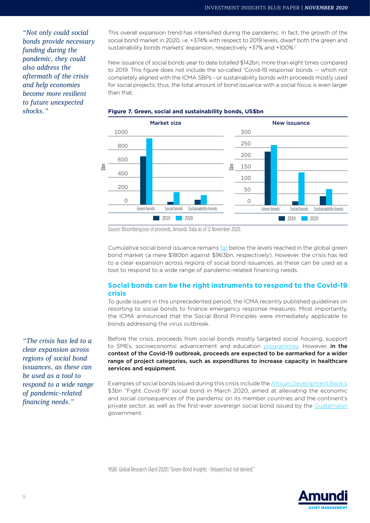*"Not only could social bonds provide necessary funding during the pandemic, they could also address the aftermath of the crisis and help economies become more resilient to future unexpected* 

This overall expansion trend has intensified during the pandemic. In fact, the growth of the social bond market in 2020, i.e. +374% with respect to 2019 levels, dwarf both the green and sustainability bonds markets' expansion, respectively +37% and +100%.<sup>1</sup>

New issuance of social bonds year to date totalled \$142bn, more than eight times compared to 2019. This figure does not include the so-called 'Covid-19 response' bonds -- which not completely aligned with the ICMA SBPs - or sustainability bonds with proceeds mostly used for social projects; thus, the total amount of bond issuance with a social focus is even larger than that.



## *shocks."* **Figure 7. Green, social and sustainability bonds, US\$bn**

Source: Bloomberg/use of proceeds, Amundi. Data as of 12 November 2020.

Cumulative social bond issuance remains [far](https://www.spglobal.com/marketintelligence/en/news-insights/latest-news-headlines/social-bond-surge-appears-here-to-stay-as-covid-19-crisis-shifts-funding-needs-58602191) below the levels reached in the global green bond market (a mere \$180bn against \$963bn, respectively). However, the crisis has led to a clear expansion across regions of social bond issuances, as these can be used as a tool to respond to a wide range of pandemic-related financing needs.

## **Social bonds can be the right instruments to respond to the Covid-19 crisis**

To guide issuers in this unprecedented period, the ICMA recently published guidelines on resorting to social bonds to finance emergency response measures. Most importantly, the ICMA announced that the Social Bond Principles were immediately applicable to bonds addressing the virus outbreak.

Before the crisis, proceeds from social bonds mostly targeted social housing, support to SMEs, socioeconomic advancement and education [programmes](https://www.orse.org/nos-travaux/osons-les-social-bonds). However, in the context of the Covid-19 outbreak, proceeds are expected to be earmarked for a wider range of project categories, such as expenditures to increase capacity in healthcare services and equipment.

Examples of social bonds issued during this crisis include the [African Development Bank's](https://www.afdb.org/en/news-and-events/press-releases/african-development-bank-launches-record-breaking-3-billion-fight-covid-19-social-bond-34982) \$3bn "Fight Covid-19" social bond in March 2020, aimed at alleviating the economic and social consequences of the pandemic on its member countries and the continent's private sector, as well as the first-ever sovereign social bond issued by the [Guatemalan](https://www.spglobal.com/ratings/en/research/articles/200622-a-pandemic-driven-surge-in-social-bond-issuance-shows-the-sustainable-debt-market-is-evolving-11539807#:~:text=social%20bond%20market.-,Social%20Bond%20Issuance%20Has%20Reached%20Record%20Levels,%2C%20health%20care%2C%20and%20financing) government.

1 HSBC Global Research (April 2020) "Green Bond Insights - Delayed but not denied."



*"The crisis has led to a clear expansion across regions of social bond issuances, as these can be used as a tool to respond to a wide range of pandemic-related financing needs."*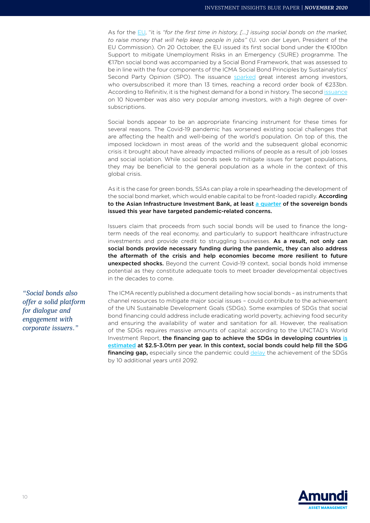As for the [EU](https://ec.europa.eu/commission/presscorner/detail/en/IP_20_1954), "it is *"for the first time in history, […] issuing social bonds on the market, to raise money that will help keep people in jobs"* (U. von der Leyen, President of the EU Commission). On 20 October, the EU issued its first social bond under the €100bn Support to mitigate Unemployment Risks in an Emergency (SURE) programme. The €17bn social bond was accompanied by a Social Bond Framework, that was assessed to be in line with the four components of the ICMA Social Bond Principles by Sustainalytics' Second Party Opinion (SPO). The issuance [sparked](https://www.cnbc.com/2020/10/21/eu-social-bonds-draw-historic-demand.html#:~:text=The%20EU%20makes%20market%20history,demand%20for%20its%20) great interest among investors, who oversubscribed it more than 13 times, reaching a record order book of €233bn. According to Refinitiv, it is the highest demand for a bond in history. The second [issuance](https://www.pubaffairsbruxelles.eu/european-commission-issues-second-emission-of-eu-sure-social-bonds-eu-commission-press) on 10 November was also very popular among investors, with a high degree of oversubscriptions.

Social bonds appear to be an appropriate financing instrument for these times for several reasons. The Covid-19 pandemic has worsened existing social challenges that are affecting the health and well-being of the world's population. On top of this, the imposed lockdown in most areas of the world and the subsequent global economic crisis it brought about have already impacted millions of people as a result of job losses and social isolation. While social bonds seek to mitigate issues for target populations, they may be beneficial to the general population as a whole in the context of this global crisis.

As it is the case for green bonds, SSAs can play a role in spearheading the development of the social bond market, which would enable capital to be front-loaded rapidly. According to the Asian Infrastructure Investment Bank, at least [a quarter](https://www.aiib.org/en/news-events/media-center/blog/2020/The-Wave-of-Covid-Bonds.html) of the sovereign bonds issued this year have targeted pandemic-related concerns.

Issuers claim that proceeds from such social bonds will be used to finance the longterm needs of the real economy, and particularly to support healthcare infrastructure investments and provide credit to struggling businesses. As a result, not only can social bonds provide necessary funding during the pandemic, they can also address the aftermath of the crisis and help economies become more resilient to future unexpected shocks. Beyond the current Covid-19 context, social bonds hold immense potential as they constitute adequate tools to meet broader developmental objectives in the decades to come.

*"Social bonds also offer a solid platform for dialogue and engagement with corporate issuers."*

The ICMA recently published a document detailing how social bonds – as instruments that channel resources to mitigate major social issues – could contribute to the achievement of the UN Sustainable Development Goals (SDGs). Some examples of SDGs that social bond financing could address include eradicating world poverty, achieving food security and ensuring the availability of water and sanitation for all. However, the realisation of the SDGs requires massive amounts of capital: according to the UNCTAD's World Investment Report, the financing gap to achieve the SDGs in developing countries [is](https://unctad.org/en/PublicationsLibrary/wir2014_en.pdf) [estimated](https://unctad.org/en/PublicationsLibrary/wir2014_en.pdf) at \$2.5-3.0trn per year. In this context, social bonds could help fill the SDG financing gap, especially since the pandemic could [delay](https://www.environmental-finance.com/content/news/sdgs-will-not-be-achieved-until-2092-study.html) the achievement of the SDGs by 10 additional years until 2092.

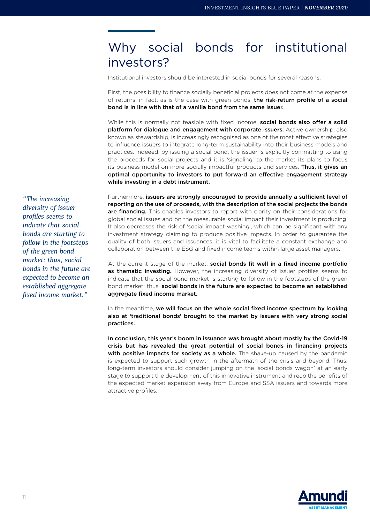# Why social bonds for institutional investors?

Institutional investors should be interested in social bonds for several reasons.

First, the possibility to finance socially beneficial projects does not come at the expense of returns: in fact, as is the case with green bonds, the risk-return profile of a social bond is in line with that of a vanilla bond from the same issuer.

While this is normally not feasible with fixed income, social bonds also offer a solid platform for dialogue and engagement with corporate issuers. Active ownership, also known as stewardship, is increasingly recognised as one of the most effective strategies to influence issuers to integrate long-term sustainability into their business models and practices. Indeeed, by issuing a social bond, the issuer is explicitly committing to using the proceeds for social projects and it is 'signaling' to the market its plans to focus its business model on more socially impactful products and services. Thus, it gives an optimal opportunity to investors to put forward an effective engagement strategy while investing in a debt instrument.

Furthermore, issuers are strongly encouraged to provide annually a sufficient level of reporting on the use of proceeds, with the description of the social projects the bonds are financing. This enables investors to report with clarity on their considerations for global social issues and on the measurable social impact their investment is producing. It also decreases the risk of 'social impact washing', which can be significant with any investment strategy claiming to produce positive impacts. In order to guarantee the quality of both issuers and issuances, it is vital to facilitate a constant exchange and collaboration between the ESG and fixed income teams within large asset managers.

At the current stage of the market, social bonds fit well in a fixed income portfolio as thematic investing. However, the increasing diversity of issuer profiles seems to indicate that the social bond market is starting to follow in the footsteps of the green bond market: thus, social bonds in the future are expected to become an established aggregate fixed income market.

In the meantime, we will focus on the whole social fixed income spectrum by looking also at 'traditional bonds' brought to the market by issuers with very strong social practices.

In conclusion, this year's boom in issuance was brought about mostly by the Covid-19 crisis but has revealed the great potential of social bonds in financing projects with positive impacts for society as a whole. The shake-up caused by the pandemic is expected to support such growth in the aftermath of the crisis and beyond. Thus, long-term investors should consider jumping on the 'social bonds wagon' at an early stage to support the development of this innovative instrument and reap the benefits of the expected market expansion away from Europe and SSA issuers and towards more attractive profiles.



*"The increasing diversity of issuer profiles seems to indicate that social bonds are starting to follow in the footsteps of the green bond market: thus, social bonds in the future are expected to become an established aggregate fixed income market."*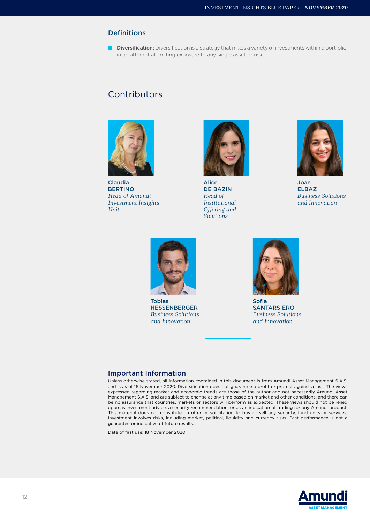### Definitions

■ Diversification: Diversification is a strategy that mixes a variety of investments within a portfolio, in an attempt at limiting exposure to any single asset or risk.

# **Contributors**



Claudia BERTINO *Head of Amundi Investment Insights Unit*



Alice DE BAZIN *Head of Institutional Offering and Solutions* 



Joan ELBAZ *Business Solutions and Innovation*



Tobias HESSENBERGER *Business Solutions and Innovation*



Sofia SANTARSIERO *Business Solutions and Innovation*

### Important Information

Unless otherwise stated, all information contained in this document is from Amundi Asset Management S.A.S. and is as of 16 November 2020. Diversification does not guarantee a profit or protect against a loss. The views expressed regarding market and economic trends are those of the author and not necessarily Amundi Asset Management S.A.S. and are subject to change at any time based on market and other conditions, and there can be no assurance that countries, markets or sectors will perform as expected. These views should not be relied upon as investment advice, a security recommendation, or as an indication of trading for any Amundi product. This material does not constitute an offer or solicitation to buy or sell any security, fund units or services. Investment involves risks, including market, political, liquidity and currency risks. Past performance is not a guarantee or indicative of future results.

Date of first use: 18 November 2020.